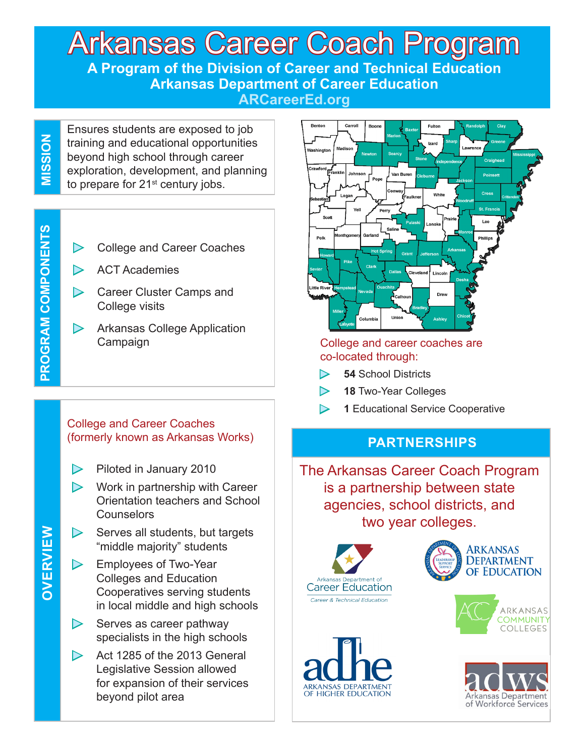#### Arkansas Career Coach Program **A Program of the Division of Career and Technical Education Arkansas Department of Career Education ARCareerEd.org**

MISSION **MISSION**

Ensures students are exposed to job training and educational opportunities beyond high school through career exploration, development, and planning to prepare for  $21<sup>st</sup>$  century jobs.

► College and Career Coaches

- $\triangleright$  ACT Academies
- ► Career Cluster Camps and College visits
- ► Arkansas College Application Campaign

#### College and Career Coaches (formerly known as Arkansas Works)

- ► Piloted in January 2010
- $\triangleright$  Work in partnership with Career Orientation teachers and School Counselors
- $\triangleright$  Serves all students, but targets "middle majority" students
- ► Employees of Two-Year Colleges and Education Cooperatives serving students in local middle and high schools
- $\triangleright$  Serves as career pathway specialists in the high schools
- $\triangleright$  Act 1285 of the 2013 General Legislative Session allowed for expansion of their services beyond pilot area



#### College and career coaches are co-located through:

- ► **54** School Districts
- ► **18** Two-Year Colleges
	- **1** Educational Service Cooperative

#### **PARTNERSHIPS**

The Arkansas Career Coach Program is a partnership between state agencies, school districts, and two year colleges.











# OVERVIEW **OVERVIEW**